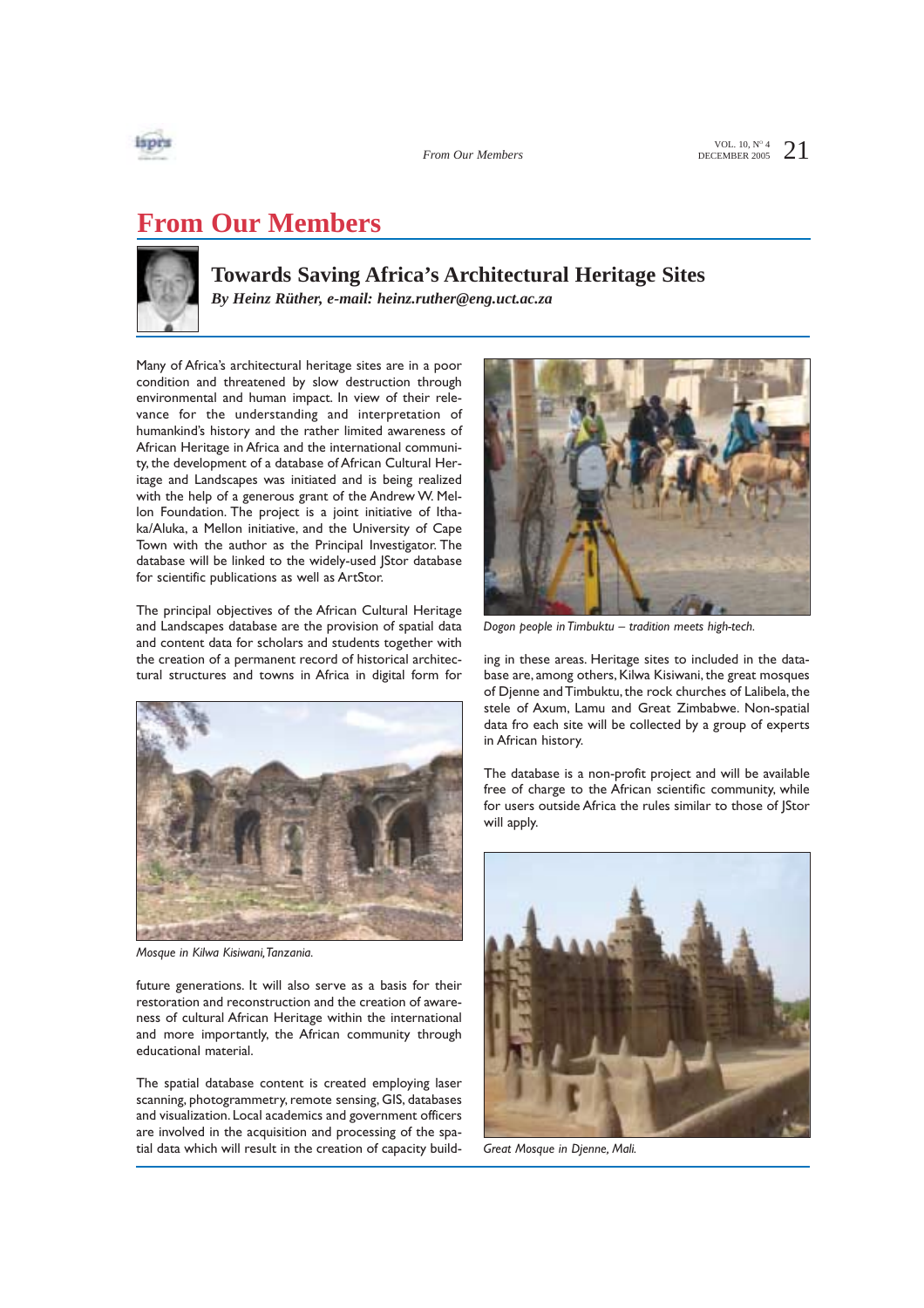

*From Our Members*

VOL. 10,  $N^{\circ}$  4  $21$ 

# **From Our Members**



### **Towards Saving Africa's Architectural Heritage Sites**

*By Heinz Rüther, e-mail: heinz.ruther@eng.uct.ac.za*

Many of Africa's architectural heritage sites are in a poor condition and threatened by slow destruction through environmental and human impact. In view of their relevance for the understanding and interpretation of humankind's history and the rather limited awareness of African Heritage in Africa and the international community, the development of a database of African Cultural Heritage and Landscapes was initiated and is being realized with the help of a generous grant of the Andrew W. Mellon Foundation. The project is a joint initiative of Ithaka/Aluka, a Mellon initiative, and the University of Cape Town with the author as the Principal Investigator. The database will be linked to the widely-used JStor database for scientific publications as well as ArtStor.

The principal objectives of the African Cultural Heritage and Landscapes database are the provision of spatial data and content data for scholars and students together with the creation of a permanent record of historical architectural structures and towns in Africa in digital form for



*Mosque in Kilwa Kisiwani,Tanzania.*

future generations. It will also serve as a basis for their restoration and reconstruction and the creation of awareness of cultural African Heritage within the international and more importantly, the African community through educational material.

The spatial database content is created employing laser scanning, photogrammetry, remote sensing, GIS, databases and visualization. Local academics and government officers are involved in the acquisition and processing of the spatial data which will result in the creation of capacity build-



*Dogon people in Timbuktu – tradition meets high-tech.*

ing in these areas. Heritage sites to included in the database are, among others, Kilwa Kisiwani, the great mosques of Djenne and Timbuktu, the rock churches of Lalibela, the stele of Axum, Lamu and Great Zimbabwe. Non-spatial data fro each site will be collected by a group of experts in African history.

The database is a non-profit project and will be available free of charge to the African scientific community, while for users outside Africa the rules similar to those of JStor will apply.



*Great Mosque in Djenne, Mali.*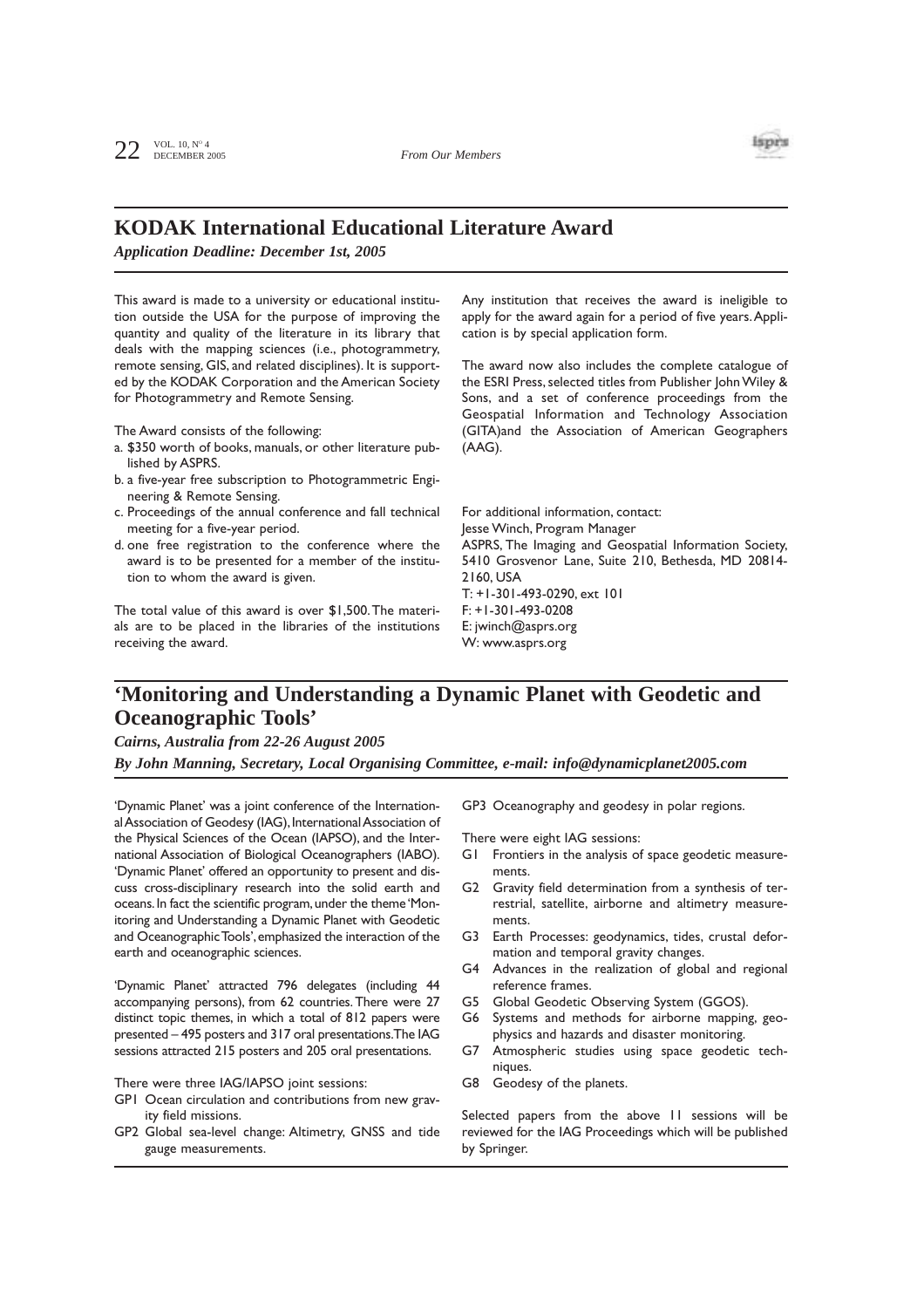

## **KODAK International Educational Literature Award**

*Application Deadline: December 1st, 2005*

This award is made to a university or educational institution outside the USA for the purpose of improving the quantity and quality of the literature in its library that deals with the mapping sciences (i.e., photogrammetry, remote sensing, GIS, and related disciplines). It is supported by the KODAK Corporation and the American Society for Photogrammetry and Remote Sensing.

The Award consists of the following:

- a. \$350 worth of books, manuals, or other literature published by ASPRS.
- b. a five-year free subscription to Photogrammetric Engineering & Remote Sensing.
- c. Proceedings of the annual conference and fall technical meeting for a five-year period.
- d. one free registration to the conference where the award is to be presented for a member of the institution to whom the award is given.

The total value of this award is over \$1,500.The materials are to be placed in the libraries of the institutions receiving the award.

Any institution that receives the award is ineligible to apply for the award again for a period of five years.Application is by special application form.

The award now also includes the complete catalogue of the ESRI Press, selected titles from Publisher John Wiley & Sons, and a set of conference proceedings from the Geospatial Information and Technology Association (GITA)and the Association of American Geographers (AAG).

For additional information, contact: Jesse Winch, Program Manager ASPRS, The Imaging and Geospatial Information Society, 5410 Grosvenor Lane, Suite 210, Bethesda, MD 20814- 2160, USA T: +1-301-493-0290, ext 101 F: +1-301-493-0208 E: jwinch@asprs.org W: www.asprs.org

### **'Monitoring and Understanding a Dynamic Planet with Geodetic and Oceanographic Tools'**

*Cairns, Australia from 22-26 August 2005*

*By John Manning, Secretary, Local Organising Committee, e-mail: info@dynamicplanet2005.com*

'Dynamic Planet' was a joint conference of the International Association of Geodesy (IAG), International Association of the Physical Sciences of the Ocean (IAPSO), and the International Association of Biological Oceanographers (IABO). 'Dynamic Planet' offered an opportunity to present and discuss cross-disciplinary research into the solid earth and oceans.In fact the scientific program,under the theme 'Monitoring and Understanding a Dynamic Planet with Geodetic and Oceanographic Tools',emphasized the interaction of the earth and oceanographic sciences.

'Dynamic Planet' attracted 796 delegates (including 44 accompanying persons), from 62 countries. There were 27 distinct topic themes, in which a total of 812 papers were presented – 495 posters and 317 oral presentations.The IAG sessions attracted 215 posters and 205 oral presentations.

There were three IAG/IAPSO joint sessions:

- GP1 Ocean circulation and contributions from new gravity field missions.
- GP2 Global sea-level change: Altimetry, GNSS and tide gauge measurements.

GP3 Oceanography and geodesy in polar regions.

There were eight IAG sessions:

- G1 Frontiers in the analysis of space geodetic measurements.
- G2 Gravity field determination from a synthesis of terrestrial, satellite, airborne and altimetry measurements.
- G3 Earth Processes: geodynamics, tides, crustal deformation and temporal gravity changes.
- G4 Advances in the realization of global and regional reference frames.
- G5 Global Geodetic Observing System (GGOS).
- G6 Systems and methods for airborne mapping, geophysics and hazards and disaster monitoring.
- G7 Atmospheric studies using space geodetic techniques.
- G8 Geodesy of the planets.

Selected papers from the above 11 sessions will be reviewed for the IAG Proceedings which will be published by Springer.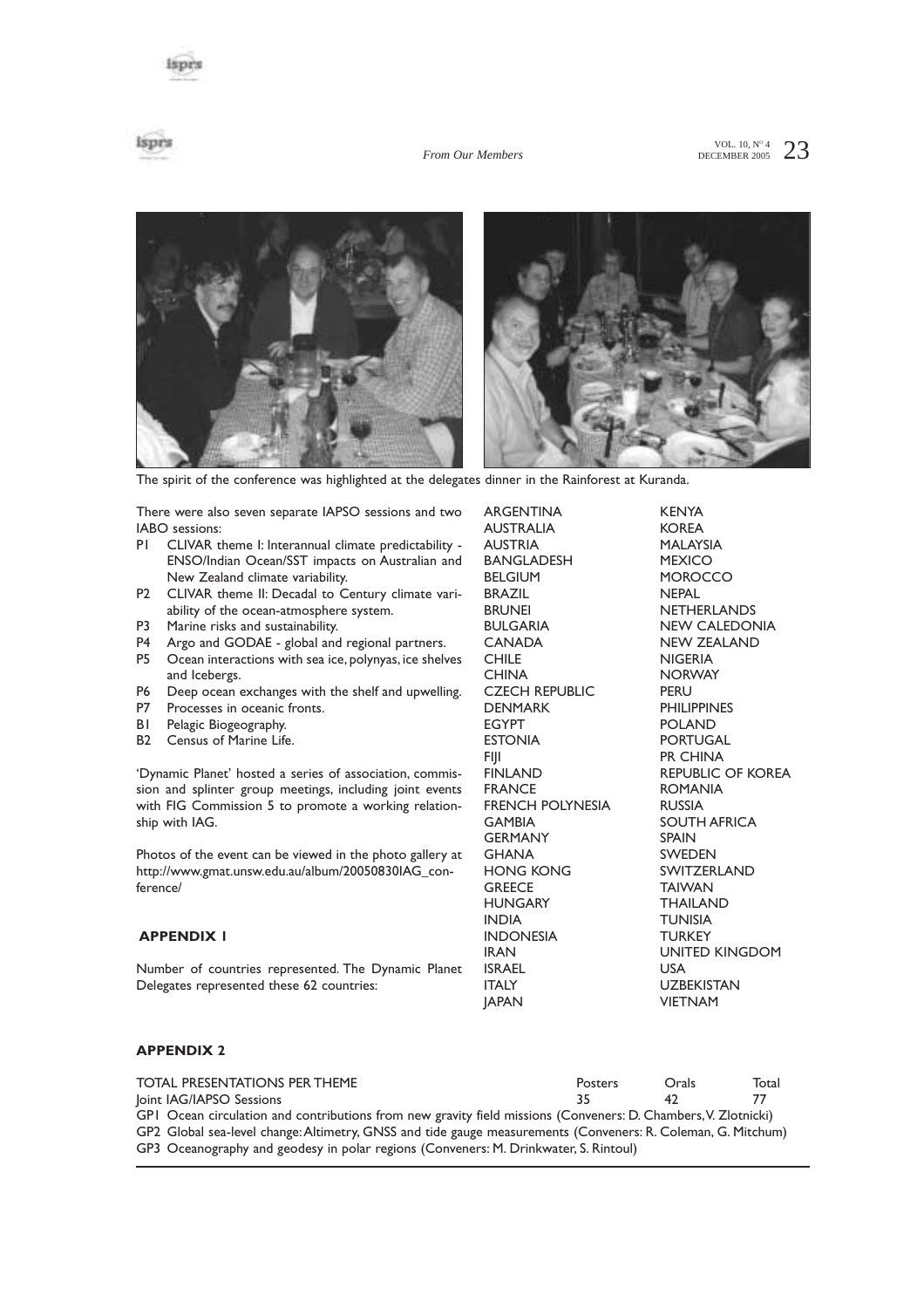ispes

#### *From Our Members*

VOL. 10,  $N^{\circ}$  4 23



The spirit of the conference was highlighted at the delegates dinner in the Rainforest at Kuranda.

There were also seven separate IAPSO sessions and two IABO sessions:

- P1 CLIVAR theme I: Interannual climate predictability -ENSO/Indian Ocean/SST impacts on Australian and New Zealand climate variability.
- P2 CLIVAR theme II: Decadal to Century climate variability of the ocean-atmosphere system.
- P3 Marine risks and sustainability.
- P4 Argo and GODAE global and regional partners.
- P5 Ocean interactions with sea ice, polynyas, ice shelves and Icebergs.
- P6 Deep ocean exchanges with the shelf and upwelling.
- Processes in oceanic fronts.
- B1 Pelagic Biogeography.
- B2 Census of Marine Life.

'Dynamic Planet' hosted a series of association, commission and splinter group meetings, including joint events with FIG Commission 5 to promote a working relationship with IAG.

Photos of the event can be viewed in the photo gallery at http://www.gmat.unsw.edu.au/album/20050830IAG\_conference/

### **APPENDIX 1**

Number of countries represented. The Dynamic Planet Delegates represented these 62 countries:

ARGENTINA KENYA AUSTRALIA KOREA AUSTRIA MALAYSIA BANGLADESH MEXICO BELGIUM MOROCCO BRAZIL NEPAL BRUNEI NETHERLANDS BULGARIA NEW CALEDONIA CHILE NIGERIA CHINA NORWAY CZECH REPUBLIC PERU<br>DENMARK PHILI DENMARK PHILIPPINES<br>EGYPT POLAND ESTONIA PORTUGAL FIJI PR CHINA FINLAND REPUBLIC OF KOREA<br>FRANCE ROMANIA FRENCH POLYNESIA RUSSIA GAMBIA SOUTH AFRICA GERMANY SPAIN GHANA SWEDEN HONG KONG SWITZERLAND GREECE **TAIWAN** HUNGARY THAILAND INDIA TUNISIA INDONESIA TURKEY IRAN UNITED KINGDOM **ISRAEL<br>ITALY** 

NEW ZEALAND POLAND **ROMANIA** UZBEKISTAN JAPAN VIETNAM

### **APPENDIX 2**

| <b>TOTAL PRESENTATIONS PER THEME</b>                                                                           | Posters | Orals | Total |
|----------------------------------------------------------------------------------------------------------------|---------|-------|-------|
| loint IAG/IAPSO Sessions                                                                                       | 35      | 47.   |       |
| GPI Ocean circulation and contributions from new gravity field missions (Conveners: D. Chambers, V. Zlotnicki) |         |       |       |
| GP2 Global sea-level change: Altimetry, GNSS and tide gauge measurements (Conveners: R. Coleman, G. Mitchum)   |         |       |       |
| GP3 Oceanography and geodesy in polar regions (Conveners: M. Drinkwater, S. Rintoul)                           |         |       |       |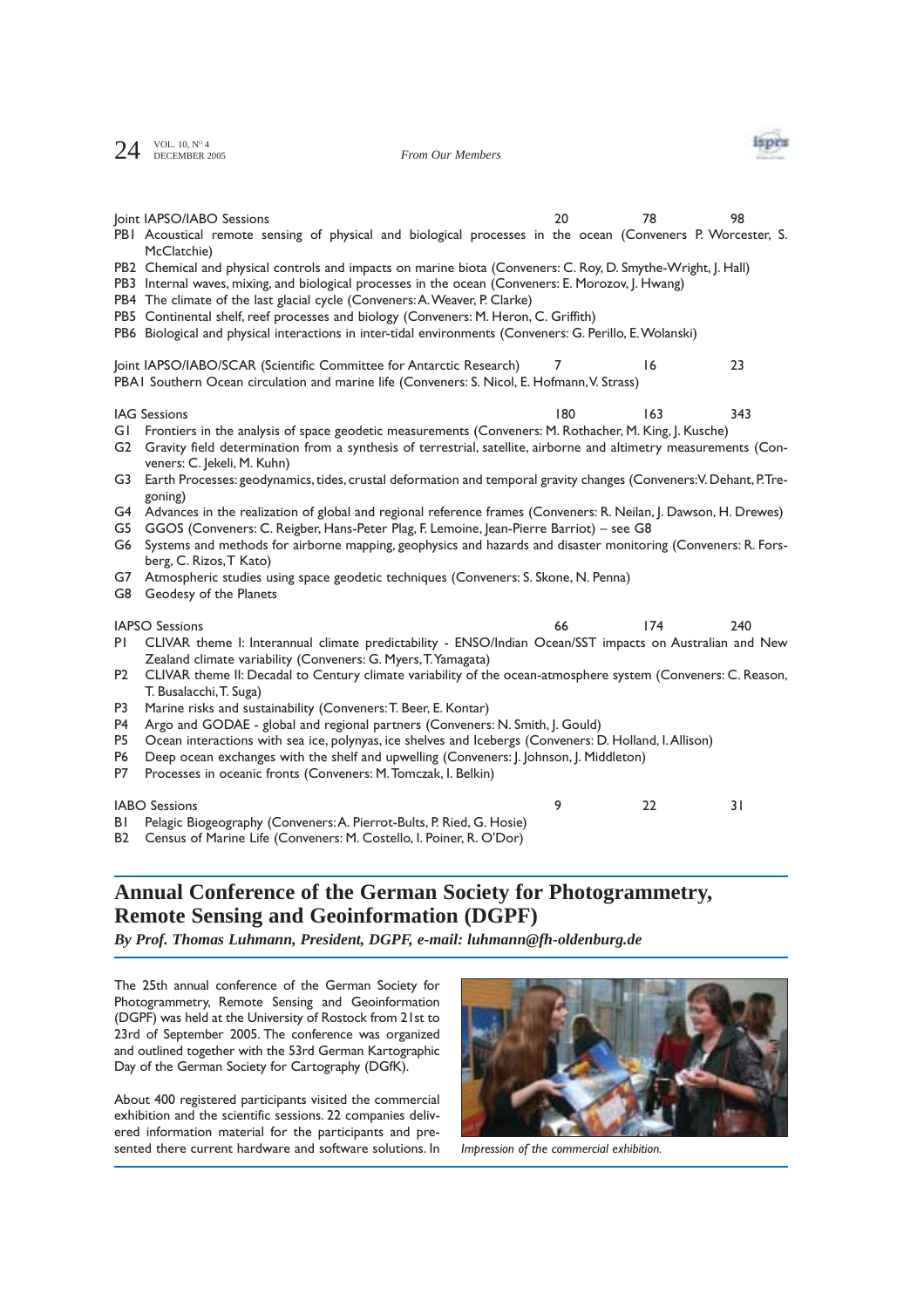$24$  VOL. 10, N° 4<br>DECEMBER 2005

*From Our Members*



|                                                                                                                                                                                                                                                                                                                                                                                                                                                                                                                                                                                                                                                                                                                                                                                                                                                                                                                                                                      | Joint IAPSO/IABO Sessions<br>PBI Acoustical remote sensing of physical and biological processes in the ocean (Conveners P. Worcester, S.<br>McClatchie)<br>PB2 Chemical and physical controls and impacts on marine biota (Conveners: C. Roy, D. Smythe-Wright, J. Hall)<br>PB3 Internal waves, mixing, and biological processes in the ocean (Conveners: E. Morozov, J. Hwang)<br>PB4 The climate of the last glacial cycle (Conveners: A. Weaver, P. Clarke)<br>PB5 Continental shelf, reef processes and biology (Conveners: M. Heron, C. Griffith)<br>PB6 Biological and physical interactions in inter-tidal environments (Conveners: G. Perillo, E. Wolanski)                                                                                                         | 20 |  | 78  | 98  |  |
|----------------------------------------------------------------------------------------------------------------------------------------------------------------------------------------------------------------------------------------------------------------------------------------------------------------------------------------------------------------------------------------------------------------------------------------------------------------------------------------------------------------------------------------------------------------------------------------------------------------------------------------------------------------------------------------------------------------------------------------------------------------------------------------------------------------------------------------------------------------------------------------------------------------------------------------------------------------------|-----------------------------------------------------------------------------------------------------------------------------------------------------------------------------------------------------------------------------------------------------------------------------------------------------------------------------------------------------------------------------------------------------------------------------------------------------------------------------------------------------------------------------------------------------------------------------------------------------------------------------------------------------------------------------------------------------------------------------------------------------------------------------|----|--|-----|-----|--|
|                                                                                                                                                                                                                                                                                                                                                                                                                                                                                                                                                                                                                                                                                                                                                                                                                                                                                                                                                                      | Joint IAPSO/IABO/SCAR (Scientific Committee for Antarctic Research)<br>PBAI Southern Ocean circulation and marine life (Conveners: S. Nicol, E. Hofmann, V. Strass)                                                                                                                                                                                                                                                                                                                                                                                                                                                                                                                                                                                                         | 7  |  | 16  | 23  |  |
| 163<br><b>IAG Sessions</b><br>180<br>343<br>Frontiers in the analysis of space geodetic measurements (Conveners: M. Rothacher, M. King, J. Kusche)<br>GI<br>Gravity field determination from a synthesis of terrestrial, satellite, airborne and altimetry measurements (Con-<br>G2<br>veners: C. Jekeli, M. Kuhn)<br>Earth Processes: geodynamics, tides, crustal deformation and temporal gravity changes (Conveners: V. Dehant, P.Tre-<br>G3<br>goning)<br>Advances in the realization of global and regional reference frames (Conveners: R. Neilan, J. Dawson, H. Drewes)<br>G4<br>GGOS (Conveners: C. Reigber, Hans-Peter Plag, F. Lemoine, Jean-Pierre Barriot) - see G8<br>G5<br>Systems and methods for airborne mapping, geophysics and hazards and disaster monitoring (Conveners: R. Fors-<br>G6<br>berg, C. Rizos, T Kato)<br>Atmospheric studies using space geodetic techniques (Conveners: S. Skone, N. Penna)<br>G7<br>G8<br>Geodesy of the Planets |                                                                                                                                                                                                                                                                                                                                                                                                                                                                                                                                                                                                                                                                                                                                                                             |    |  |     |     |  |
| PI<br>P <sub>2</sub><br>P3<br>P <sub>4</sub><br>P <sub>5</sub><br>P <sub>6</sub><br>P7                                                                                                                                                                                                                                                                                                                                                                                                                                                                                                                                                                                                                                                                                                                                                                                                                                                                               | <b>IAPSO Sessions</b><br>CLIVAR theme I: Interannual climate predictability - ENSO/Indian Ocean/SST impacts on Australian and New<br>Zealand climate variability (Conveners: G. Myers, T. Yamagata)<br>CLIVAR theme II: Decadal to Century climate variability of the ocean-atmosphere system (Conveners: C. Reason,<br>T. Busalacchi, T. Suga)<br>Marine risks and sustainability (Conveners: T. Beer, E. Kontar)<br>Argo and GODAE - global and regional partners (Conveners: N. Smith, J. Gould)<br>Ocean interactions with sea ice, polynyas, ice shelves and Icebergs (Conveners: D. Holland, I. Allison)<br>Deep ocean exchanges with the shelf and upwelling (Conveners: J. Johnson, J. Middleton)<br>Processes in oceanic fronts (Conveners: M. Tomczak, I. Belkin) | 66 |  | 174 | 240 |  |

IABO Sessions 9 22 31

B1 Pelagic Biogeography (Conveners:A. Pierrot-Bults, P. Ried, G. Hosie)

B2 Census of Marine Life (Conveners: M. Costello, I. Poiner, R. O'Dor)

### **Annual Conference of the German Society for Photogrammetry, Remote Sensing and Geoinformation (DGPF)**

*By Prof. Thomas Luhmann, President, DGPF, e-mail: luhmann@fh-oldenburg.de*

The 25th annual conference of the German Society for Photogrammetry, Remote Sensing and Geoinformation (DGPF) was held at the University of Rostock from 21st to 23rd of September 2005. The conference was organized and outlined together with the 53rd German Kartographic Day of the German Society for Cartography (DGfK).

About 400 registered participants visited the commercial exhibition and the scientific sessions. 22 companies delivered information material for the participants and presented there current hardware and software solutions. In *Impression of the commercial exhibition.*

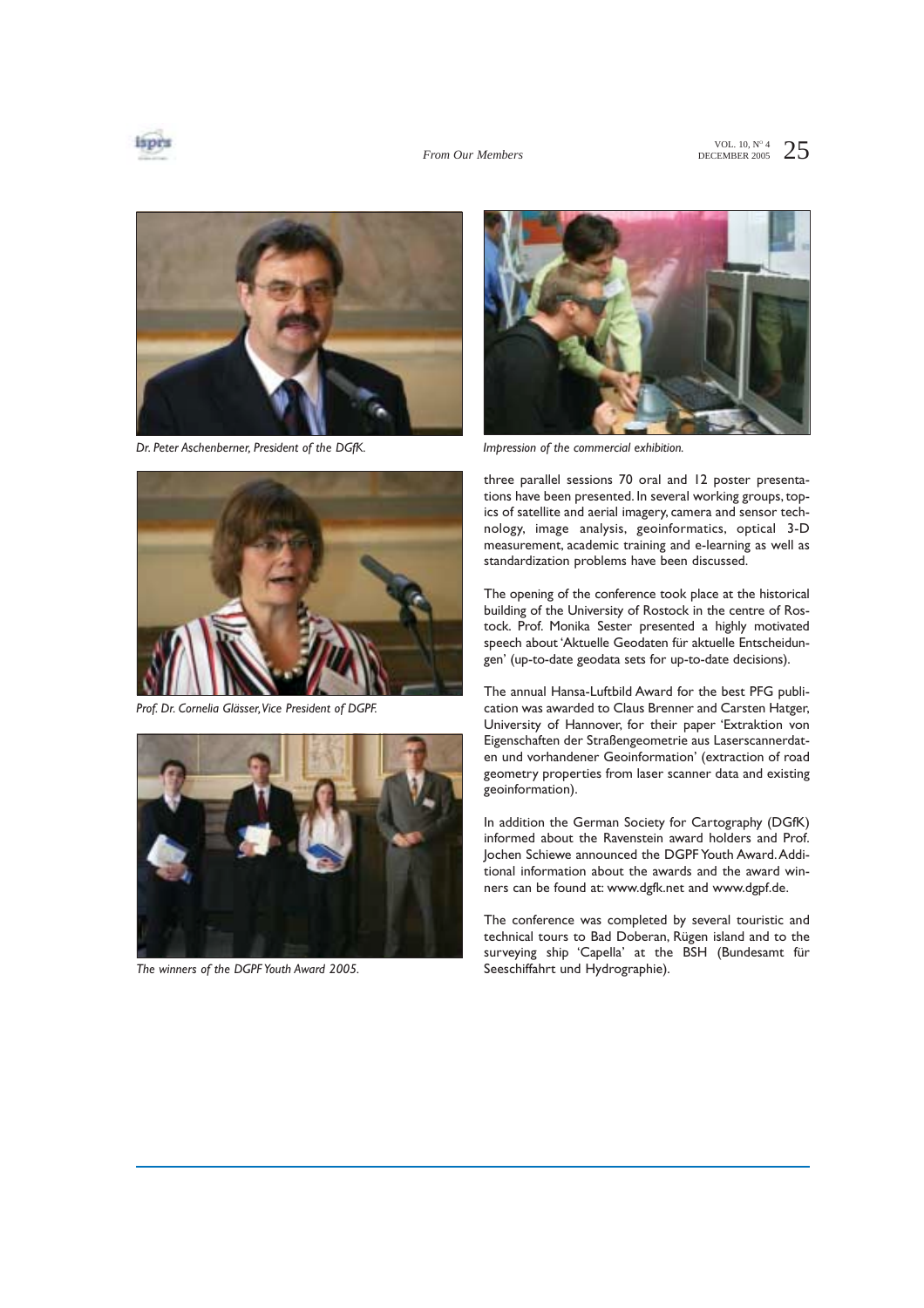



*Dr. Peter Aschenberner, President of the DGfK.*



*Prof. Dr. Cornelia Glässer,Vice President of DGPF.*



*The winners of the DGPF Youth Award 2005.*



*Impression of the commercial exhibition.*

three parallel sessions 70 oral and 12 poster presentations have been presented. In several working groups, topics of satellite and aerial imagery, camera and sensor technology, image analysis, geoinformatics, optical 3-D measurement, academic training and e-learning as well as standardization problems have been discussed.

The opening of the conference took place at the historical building of the University of Rostock in the centre of Rostock. Prof. Monika Sester presented a highly motivated speech about 'Aktuelle Geodaten für aktuelle Entscheidungen' (up-to-date geodata sets for up-to-date decisions).

The annual Hansa-Luftbild Award for the best PFG publication was awarded to Claus Brenner and Carsten Hatger, University of Hannover, for their paper 'Extraktion von Eigenschaften der Straßengeometrie aus Laserscannerdaten und vorhandener Geoinformation' (extraction of road geometry properties from laser scanner data and existing geoinformation).

In addition the German Society for Cartography (DGfK) informed about the Ravenstein award holders and Prof. Jochen Schiewe announced the DGPF Youth Award.Additional information about the awards and the award winners can be found at: www.dgfk.net and www.dgpf.de.

The conference was completed by several touristic and technical tours to Bad Doberan, Rügen island and to the surveying ship 'Capella' at the BSH (Bundesamt für Seeschiffahrt und Hydrographie).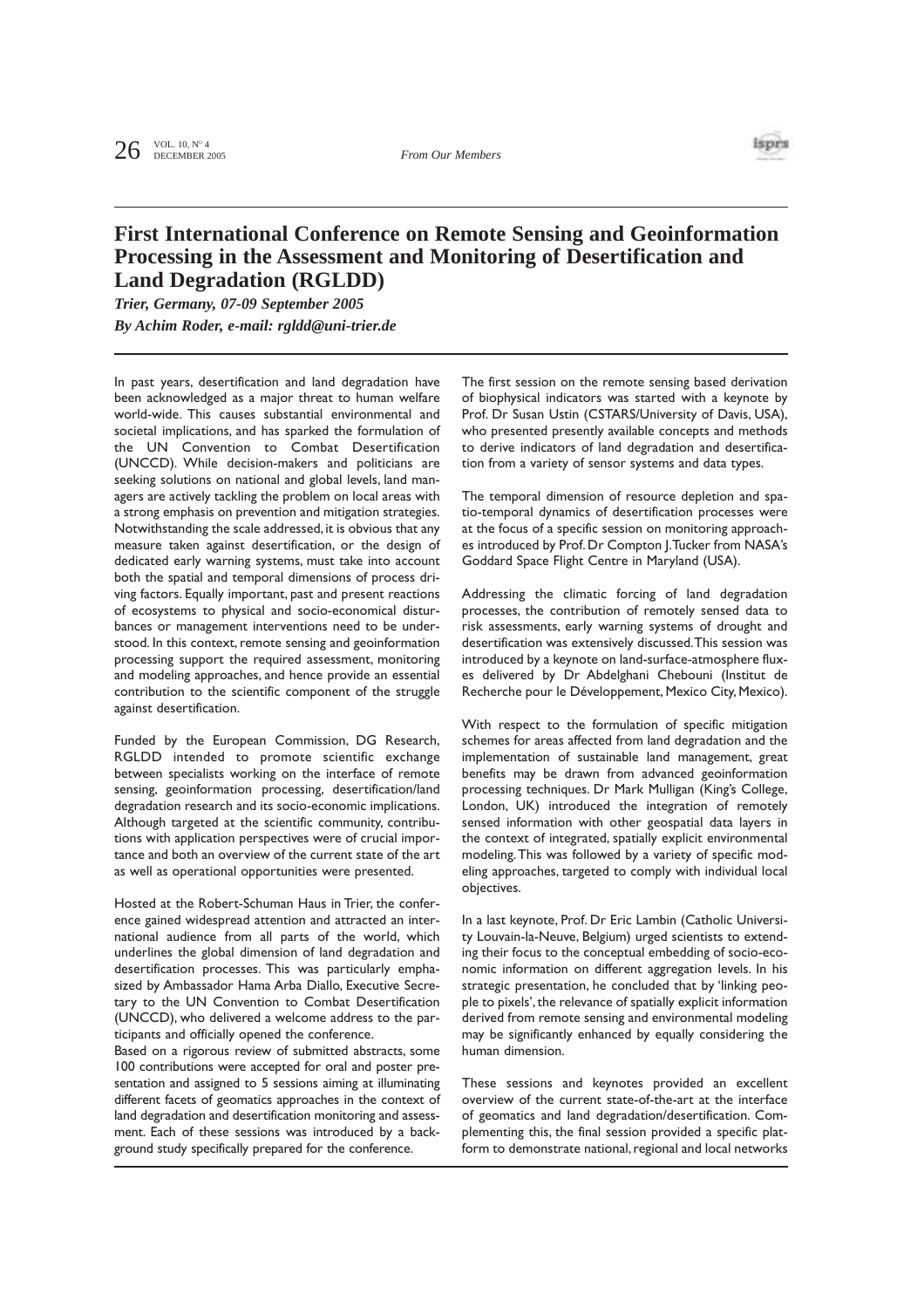

## **First International Conference on Remote Sensing and Geoinformation Processing in the Assessment and Monitoring of Desertification and Land Degradation (RGLDD)**

*Trier, Germany, 07-09 September 2005 By Achim Roder, e-mail: rgldd@uni-trier.de*

In past years, desertification and land degradation have been acknowledged as a major threat to human welfare world-wide. This causes substantial environmental and societal implications, and has sparked the formulation of the UN Convention to Combat Desertification (UNCCD). While decision-makers and politicians are seeking solutions on national and global levels, land managers are actively tackling the problem on local areas with a strong emphasis on prevention and mitigation strategies. Notwithstanding the scale addressed, it is obvious that any measure taken against desertification, or the design of dedicated early warning systems, must take into account both the spatial and temporal dimensions of process driving factors. Equally important, past and present reactions of ecosystems to physical and socio-economical disturbances or management interventions need to be understood. In this context, remote sensing and geoinformation processing support the required assessment, monitoring and modeling approaches, and hence provide an essential contribution to the scientific component of the struggle against desertification.

Funded by the European Commission, DG Research, RGLDD intended to promote scientific exchange between specialists working on the interface of remote sensing, geoinformation processing, desertification/land degradation research and its socio-economic implications. Although targeted at the scientific community, contributions with application perspectives were of crucial importance and both an overview of the current state of the art as well as operational opportunities were presented.

Hosted at the Robert-Schuman Haus in Trier, the conference gained widespread attention and attracted an international audience from all parts of the world, which underlines the global dimension of land degradation and desertification processes. This was particularly emphasized by Ambassador Hama Arba Diallo, Executive Secretary to the UN Convention to Combat Desertification (UNCCD), who delivered a welcome address to the participants and officially opened the conference.

Based on a rigorous review of submitted abstracts, some 100 contributions were accepted for oral and poster presentation and assigned to 5 sessions aiming at illuminating different facets of geomatics approaches in the context of land degradation and desertification monitoring and assessment. Each of these sessions was introduced by a background study specifically prepared for the conference.

The first session on the remote sensing based derivation of biophysical indicators was started with a keynote by Prof. Dr Susan Ustin (CSTARS/University of Davis, USA), who presented presently available concepts and methods to derive indicators of land degradation and desertification from a variety of sensor systems and data types.

The temporal dimension of resource depletion and spatio-temporal dynamics of desertification processes were at the focus of a specific session on monitoring approaches introduced by Prof. Dr Compton J. Tucker from NASA's Goddard Space Flight Centre in Maryland (USA).

Addressing the climatic forcing of land degradation processes, the contribution of remotely sensed data to risk assessments, early warning systems of drought and desertification was extensively discussed.This session was introduced by a keynote on land-surface-atmosphere fluxes delivered by Dr Abdelghani Chebouni (Institut de Recherche pour le Développement, Mexico City, Mexico).

With respect to the formulation of specific mitigation schemes for areas affected from land degradation and the implementation of sustainable land management, great benefits may be drawn from advanced geoinformation processing techniques. Dr Mark Mulligan (King's College, London, UK) introduced the integration of remotely sensed information with other geospatial data layers in the context of integrated, spatially explicit environmental modeling.This was followed by a variety of specific modeling approaches, targeted to comply with individual local objectives.

In a last keynote, Prof. Dr Eric Lambin (Catholic University Louvain-la-Neuve, Belgium) urged scientists to extending their focus to the conceptual embedding of socio-economic information on different aggregation levels. In his strategic presentation, he concluded that by 'linking people to pixels', the relevance of spatially explicit information derived from remote sensing and environmental modeling may be significantly enhanced by equally considering the human dimension.

These sessions and keynotes provided an excellent overview of the current state-of-the-art at the interface of geomatics and land degradation/desertification. Complementing this, the final session provided a specific platform to demonstrate national, regional and local networks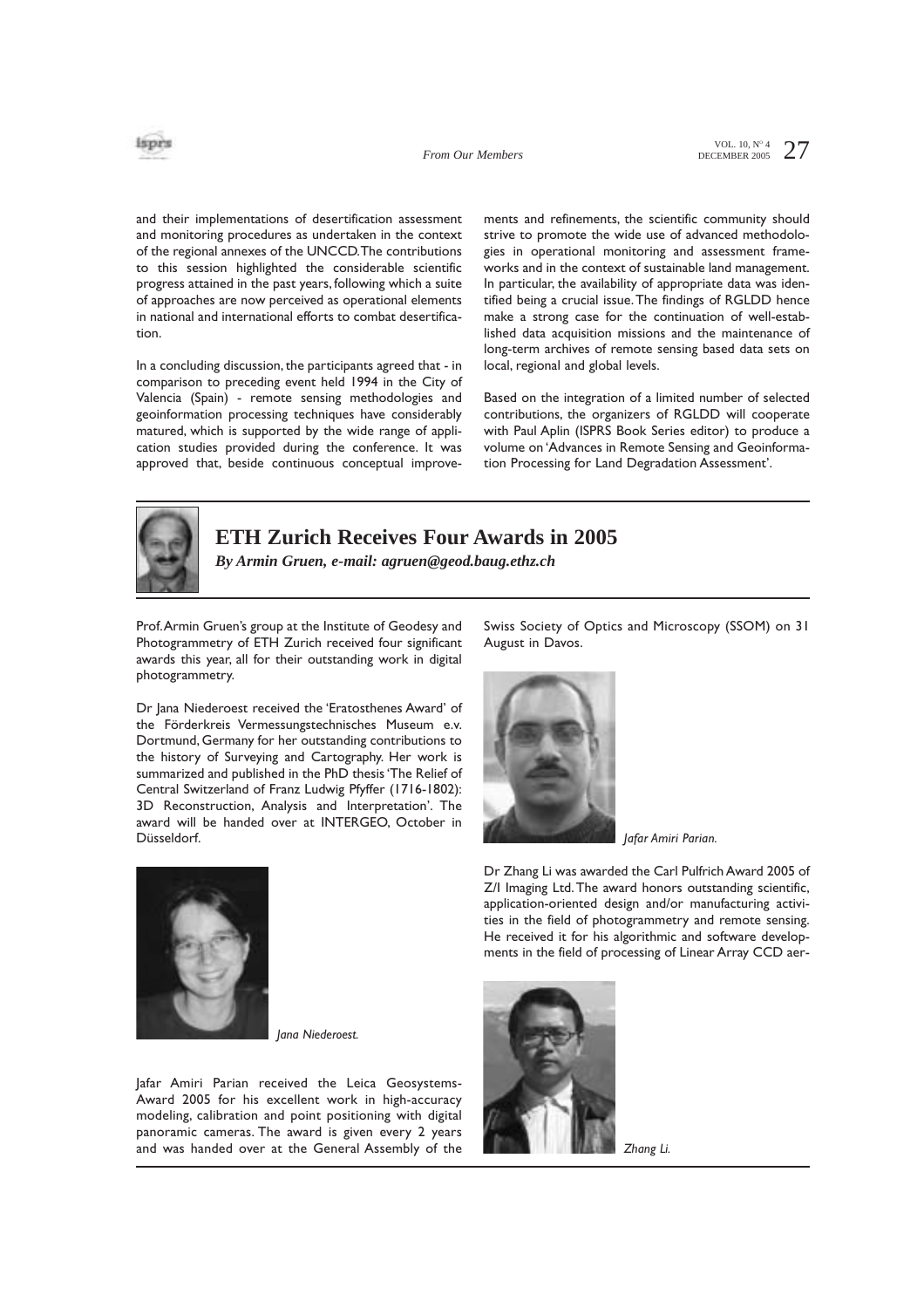

VOL. 10,  $N^{\circ}$  4 27 DECEMBER 2005

and their implementations of desertification assessment and monitoring procedures as undertaken in the context of the regional annexes of the UNCCD.The contributions to this session highlighted the considerable scientific progress attained in the past years, following which a suite of approaches are now perceived as operational elements in national and international efforts to combat desertification.

In a concluding discussion, the participants agreed that - in comparison to preceding event held 1994 in the City of Valencia (Spain) - remote sensing methodologies and geoinformation processing techniques have considerably matured, which is supported by the wide range of application studies provided during the conference. It was approved that, beside continuous conceptual improvements and refinements, the scientific community should strive to promote the wide use of advanced methodologies in operational monitoring and assessment frameworks and in the context of sustainable land management. In particular, the availability of appropriate data was identified being a crucial issue.The findings of RGLDD hence make a strong case for the continuation of well-established data acquisition missions and the maintenance of long-term archives of remote sensing based data sets on local, regional and global levels.

Based on the integration of a limited number of selected contributions, the organizers of RGLDD will cooperate with Paul Aplin (ISPRS Book Series editor) to produce a volume on 'Advances in Remote Sensing and Geoinformation Processing for Land Degradation Assessment'.



### **ETH Zurich Receives Four Awards in 2005**

*By Armin Gruen, e-mail: agruen@geod.baug.ethz.ch*

Prof.Armin Gruen's group at the Institute of Geodesy and Photogrammetry of ETH Zurich received four significant awards this year, all for their outstanding work in digital photogrammetry.

Dr Jana Niederoest received the 'Eratosthenes Award' of the Förderkreis Vermessungstechnisches Museum e.v. Dortmund, Germany for her outstanding contributions to the history of Surveying and Cartography. Her work is summarized and published in the PhD thesis 'The Relief of Central Switzerland of Franz Ludwig Pfyffer (1716-1802): 3D Reconstruction, Analysis and Interpretation'. The award will be handed over at INTERGEO, October in Düsseldorf.

Swiss Society of Optics and Microscopy (SSOM) on 31 August in Davos.



*Jafar Amiri Parian.*

Dr Zhang Li was awarded the Carl Pulfrich Award 2005 of Z/I Imaging Ltd.The award honors outstanding scientific, application-oriented design and/or manufacturing activities in the field of photogrammetry and remote sensing. He received it for his algorithmic and software developments in the field of processing of Linear Array CCD aer-



*Jana Niederoest.*

Jafar Amiri Parian received the Leica Geosystems-Award 2005 for his excellent work in high-accuracy modeling, calibration and point positioning with digital panoramic cameras. The award is given every 2 years and was handed over at the General Assembly of the